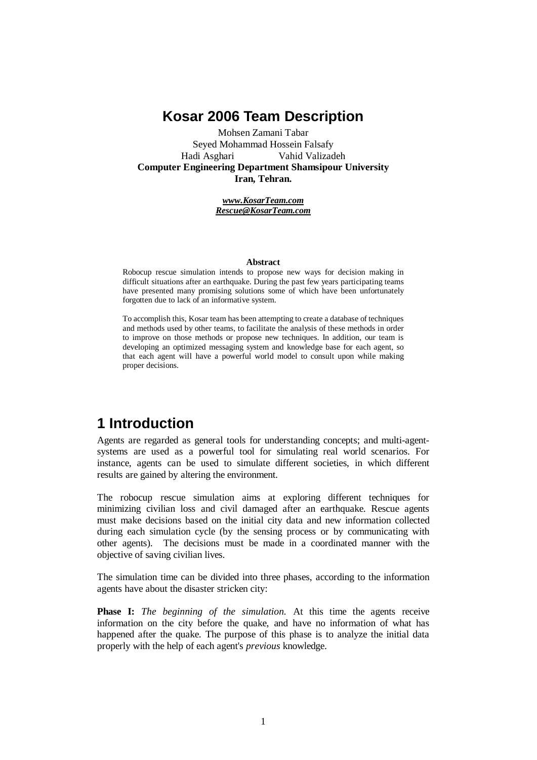### **Kosar 2006 Team Description**

Mohsen Zamani Tabar Seyed Mohammad Hossein Falsafy Hadi Asghari Vahid Valizadeh **Computer Engineering Department Shamsipour University Iran, Tehran.**

> *[www.KosarTeam.com](http://www.KosarTeam.com) [Rescue@KosarTeam.com](mailto:Rescue@KosarTeam.com)*

#### **Abstract**

Robocup rescue simulation intends to propose new ways for decision making in difficult situations after an earthquake. During the past few years participating teams have presented many promising solutions some of which have been unfortunately forgotten due to lack of an informative system.

To accomplish this, Kosar team has been attempting to create a database of techniques and methods used by other teams, to facilitate the analysis of these methods in order to improve on those methods or propose new techniques. In addition, our team is developing an optimized messaging system and knowledge base for each agent, so that each agent will have a powerful world model to consult upon while making proper decisions.

# **1 Introduction**

Agents are regarded as general tools for understanding concepts; and multi-agentsystems are used as a powerful tool for simulating real world scenarios. For instance, agents can be used to simulate different societies, in which different results are gained by altering the environment.

The robocup rescue simulation aims at exploring different techniques for minimizing civilian loss and civil damaged after an earthquake. Rescue agents must make decisions based on the initial city data and new information collected during each simulation cycle (by the sensing process or by communicating with other agents). The decisions must be made in a coordinated manner with the objective of saving civilian lives.

The simulation time can be divided into three phases, according to the information agents have about the disaster stricken city:

**Phase I:** *The beginning of the simulation.* At this time the agents receive information on the city before the quake, and have no information of what has happened after the quake. The purpose of this phase is to analyze the initial data properly with the help of each agent's *previous* knowledge.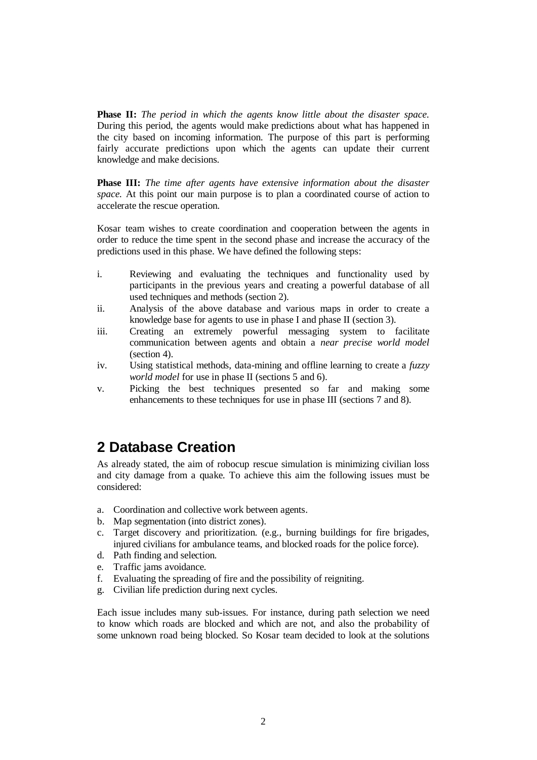**Phase II:** *The period in which the agents know little about the disaster space.* During this period, the agents would make predictions about what has happened in the city based on incoming information. The purpose of this part is performing fairly accurate predictions upon which the agents can update their current knowledge and make decisions.

**Phase III:** *The time after agents have extensive information about the disaster space.* At this point our main purpose is to plan a coordinated course of action to accelerate the rescue operation.

Kosar team wishes to create coordination and cooperation between the agents in order to reduce the time spent in the second phase and increase the accuracy of the predictions used in this phase. We have defined the following steps:

- i. Reviewing and evaluating the techniques and functionality used by participants in the previous years and creating a powerful database of all used techniques and methods (section 2).
- ii. Analysis of the above database and various maps in order to create a knowledge base for agents to use in phase I and phase II (section 3).
- iii. Creating an extremely powerful messaging system to facilitate communication between agents and obtain a *near precise world model* (section 4).
- iv. Using statistical methods, data-mining and offline learning to create a *fuzzy world model* for use in phase II (sections 5 and 6).
- v. Picking the best techniques presented so far and making some enhancements to these techniques for use in phase III (sections 7 and 8).

# **2 Database Creation**

As already stated, the aim of robocup rescue simulation is minimizing civilian loss and city damage from a quake. To achieve this aim the following issues must be considered:

- a. Coordination and collective work between agents.
- b. Map segmentation (into district zones).
- c. Target discovery and prioritization. (e.g., burning buildings for fire brigades, injured civilians for ambulance teams, and blocked roads for the police force).
- d. Path finding and selection.
- e. Traffic jams avoidance.
- f. Evaluating the spreading of fire and the possibility of reigniting.
- g. Civilian life prediction during next cycles.

Each issue includes many sub-issues. For instance, during path selection we need to know which roads are blocked and which are not, and also the probability of some unknown road being blocked. So Kosar team decided to look at the solutions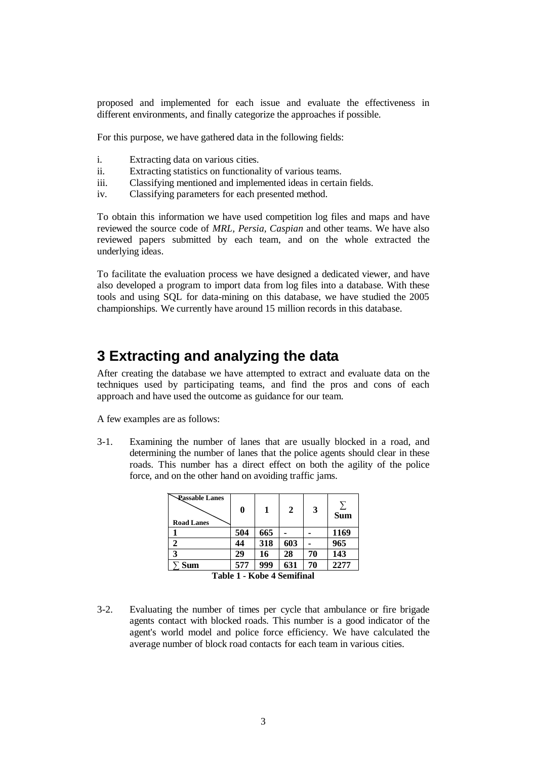proposed and implemented for each issue and evaluate the effectiveness in different environments, and finally categorize the approaches if possible.

For this purpose, we have gathered data in the following fields:

- i. Extracting data on various cities.
- ii. Extracting statistics on functionality of various teams.
- iii. Classifying mentioned and implemented ideas in certain fields.
- iv. Classifying parameters for each presented method.

To obtain this information we have used competition log files and maps and have reviewed the source code of *MRL, Persia, Caspian* and other teams. We have also reviewed papers submitted by each team, and on the whole extracted the underlying ideas.

To facilitate the evaluation process we have designed a dedicated viewer, and have also developed a program to import data from log files into a database. With these tools and using SQL for data-mining on this database, we have studied the 2005 championships. We currently have around 15 million records in this database.

#### **3 Extracting and analyzing the data**

After creating the database we have attempted to extract and evaluate data on the techniques used by participating teams, and find the pros and cons of each approach and have used the outcome as guidance for our team.

A few examples are as follows:

3-1. Examining the number of lanes that are usually blocked in a road, and determining the number of lanes that the police agents should clear in these roads. This number has a direct effect on both the agility of the police force, and on the other hand on avoiding traffic jams.

| <b>Eassable Lanes</b><br><b>Road Lanes</b> | 0   | 1   | 2   | 3  | <b>Sum</b> |  |  |  |
|--------------------------------------------|-----|-----|-----|----|------------|--|--|--|
|                                            | 504 | 665 |     |    | 1169       |  |  |  |
|                                            | 44  | 318 | 603 |    | 965        |  |  |  |
| 3                                          | 29  | 16  | 28  | 70 | 143        |  |  |  |
| $\Sigma$ Sum                               | 577 | 999 | 631 | 70 | 2277       |  |  |  |
| $T^2 - L = 40$<br>$T = 1.1 - 1$            |     |     |     |    |            |  |  |  |

**Table 1 - Kobe 4 Semifinal**

3-2. Evaluating the number of times per cycle that ambulance or fire brigade agents contact with blocked roads. This number is a good indicator of the agent's world model and police force efficiency. We have calculated the average number of block road contacts for each team in various cities.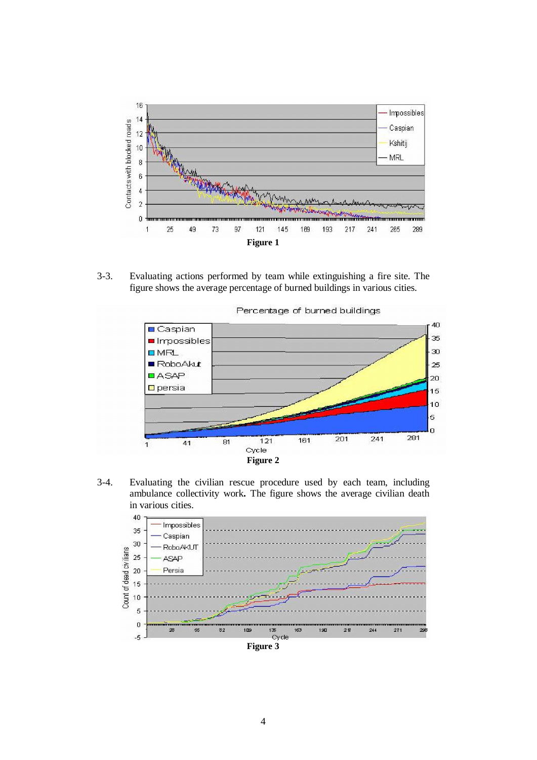

3-3. Evaluating actions performed by team while extinguishing a fire site. The figure shows the average percentage of burned buildings in various cities.



Percentage of burned buildings

3-4. Evaluating the civilian rescue procedure used by each team, including ambulance collectivity work**.** The figure shows the average civilian death in various cities.



4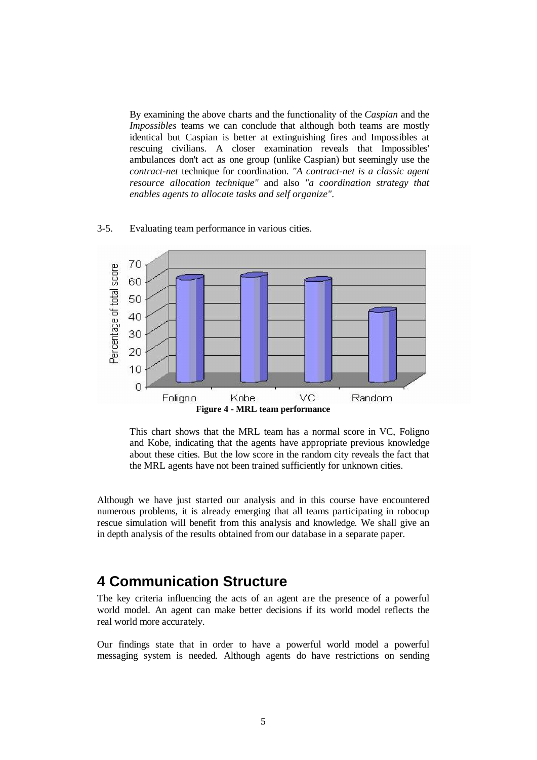By examining the above charts and the functionality of the *Caspian* and the *Impossibles* teams we can conclude that although both teams are mostly identical but Caspian is better at extinguishing fires and Impossibles at rescuing civilians. A closer examination reveals that Impossibles' ambulances don't act as one group (unlike Caspian) but seemingly use the *contract-net* technique for coordination. *"A contract-net is a classic agent resource allocation technique"* and also *"a coordination strategy that enables agents to allocate tasks and self organize"*.

#### 3-5. Evaluating team performance in various cities.



This chart shows that the MRL team has a normal score in VC, Foligno and Kobe, indicating that the agents have appropriate previous knowledge about these cities. But the low score in the random city reveals the fact that the MRL agents have not been trained sufficiently for unknown cities.

Although we have just started our analysis and in this course have encountered numerous problems, it is already emerging that all teams participating in robocup rescue simulation will benefit from this analysis and knowledge. We shall give an in depth analysis of the results obtained from our database in a separate paper.

#### **4 Communication Structure**

The key criteria influencing the acts of an agent are the presence of a powerful world model. An agent can make better decisions if its world model reflects the real world more accurately.

Our findings state that in order to have a powerful world model a powerful messaging system is needed. Although agents do have restrictions on sending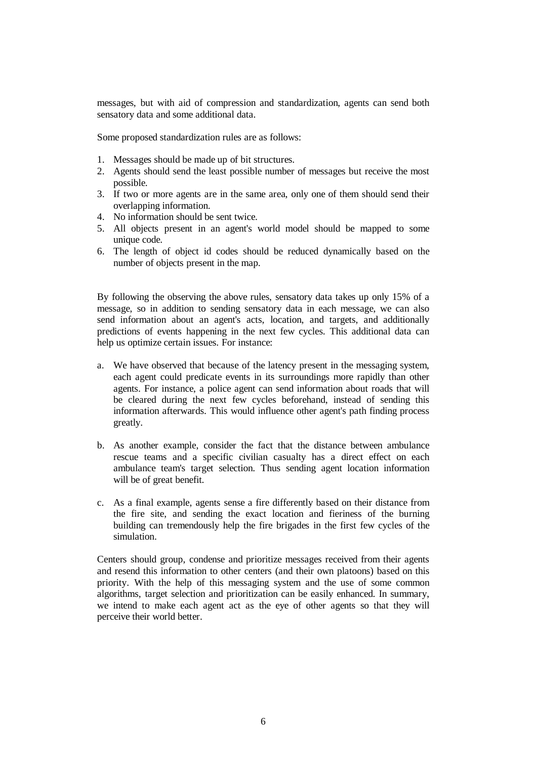messages, but with aid of compression and standardization, agents can send both sensatory data and some additional data.

Some proposed standardization rules are as follows:

- 1. Messages should be made up of bit structures.
- 2. Agents should send the least possible number of messages but receive the most possible.
- 3. If two or more agents are in the same area, only one of them should send their overlapping information.
- 4. No information should be sent twice.
- 5. All objects present in an agent's world model should be mapped to some unique code.
- 6. The length of object id codes should be reduced dynamically based on the number of objects present in the map.

By following the observing the above rules, sensatory data takes up only 15% of a message, so in addition to sending sensatory data in each message, we can also send information about an agent's acts, location, and targets, and additionally predictions of events happening in the next few cycles. This additional data can help us optimize certain issues. For instance:

- a. We have observed that because of the latency present in the messaging system, each agent could predicate events in its surroundings more rapidly than other agents. For instance, a police agent can send information about roads that will be cleared during the next few cycles beforehand, instead of sending this information afterwards. This would influence other agent's path finding process greatly.
- b. As another example, consider the fact that the distance between ambulance rescue teams and a specific civilian casualty has a direct effect on each ambulance team's target selection. Thus sending agent location information will be of great benefit.
- c. As a final example, agents sense a fire differently based on their distance from the fire site, and sending the exact location and fieriness of the burning building can tremendously help the fire brigades in the first few cycles of the simulation.

Centers should group, condense and prioritize messages received from their agents and resend this information to other centers (and their own platoons) based on this priority. With the help of this messaging system and the use of some common algorithms, target selection and prioritization can be easily enhanced. In summary, we intend to make each agent act as the eye of other agents so that they will perceive their world better.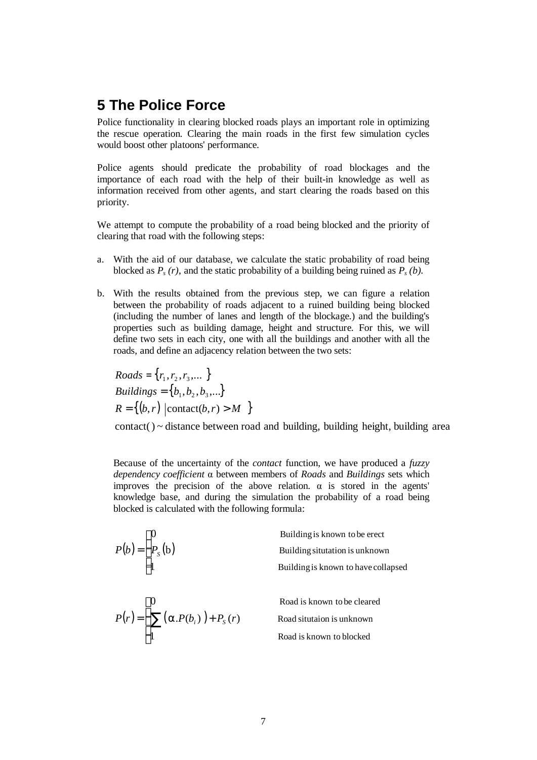### **5 The Police Force**

Police functionality in clearing blocked roads plays an important role in optimizing the rescue operation. Clearing the main roads in the first few simulation cycles would boost other platoons' performance.

Police agents should predicate the probability of road blockages and the importance of each road with the help of their built-in knowledge as well as information received from other agents, and start clearing the roads based on this priority.

We attempt to compute the probability of a road being blocked and the priority of clearing that road with the following steps:

- a. With the aid of our database, we calculate the static probability of road being blocked as  $P_s(r)$ , and the static probability of a building being ruined as  $P_s(b)$ .
- b. With the results obtained from the previous step, we can figure a relation between the probability of roads adjacent to a ruined building being blocked (including the number of lanes and length of the blockage.) and the building's properties such as building damage, height and structure. For this, we will define two sets in each city, one with all the buildings and another with all the roads, and define an adjacency relation between the two sets:

 ${~Roots} = \{r_1, r_2, r_3, \dots \}$ *Buildings* =  ${b_1, b_2, b_3, ...\}$  $R = \{(b, r) \mid \text{contact}(b, r) > M \}$ 

 $contact() \sim distance$  between road and building, building height, building area

Because of the uncertainty of the *contact* function, we have produced a *fuzzy dependency coefficient* α between members of *Roads* and *Buildings* sets which improves the precision of the above relation.  $\alpha$  is stored in the agents' knowledge base, and during the simulation the probability of a road being blocked is calculated with the following formula:

$$
P(b) = \begin{cases} 0 & \text{Building is known to be erect} \\ P_s(b) & \text{Building situation is unknown} \\ 1 & \text{Building is known to have collapsed} \\ P(r) = \begin{cases} 0 & \text{ Road is known to be cleared} \\ \sum (\alpha.P(b_i)) + P_s(r) & \text{ Road situation is unknown} \\ 1 & \text{ Road is known to blocked} \end{cases} \end{cases}
$$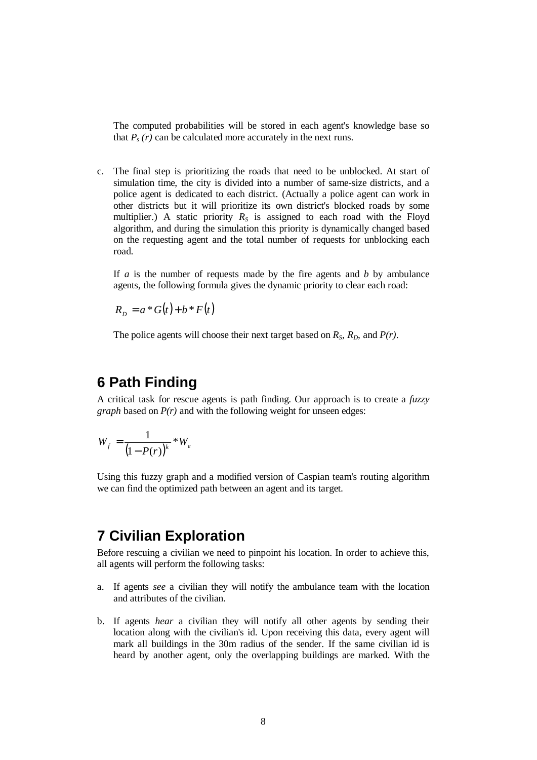The computed probabilities will be stored in each agent's knowledge base so that  $P_s(r)$  can be calculated more accurately in the next runs.

c. The final step is prioritizing the roads that need to be unblocked. At start of simulation time, the city is divided into a number of same-size districts, and a police agent is dedicated to each district. (Actually a police agent can work in other districts but it will prioritize its own district's blocked roads by some multiplier.) A static priority  $R<sub>S</sub>$  is assigned to each road with the Floyd algorithm, and during the simulation this priority is dynamically changed based on the requesting agent and the total number of requests for unblocking each road.

If *a* is the number of requests made by the fire agents and *b* by ambulance agents, the following formula gives the dynamic priority to clear each road:

 $R_p = a * G(t) + b * F(t)$ 

The police agents will choose their next target based on  $R_S$ ,  $R_D$ , and  $P(r)$ .

# **6 Path Finding**

A critical task for rescue agents is path finding. Our approach is to create a *fuzzy graph* based on *P(r)* and with the following weight for unseen edges:

$$
W_f = \frac{1}{\left(1 - P(r)\right)^k} * W_e
$$

Using this fuzzy graph and a modified version of Caspian team's routing algorithm we can find the optimized path between an agent and its target.

### **7 Civilian Exploration**

Before rescuing a civilian we need to pinpoint his location. In order to achieve this, all agents will perform the following tasks:

- a. If agents *see* a civilian they will notify the ambulance team with the location and attributes of the civilian.
- b. If agents *hear* a civilian they will notify all other agents by sending their location along with the civilian's id. Upon receiving this data, every agent will mark all buildings in the 30m radius of the sender. If the same civilian id is heard by another agent, only the overlapping buildings are marked. With the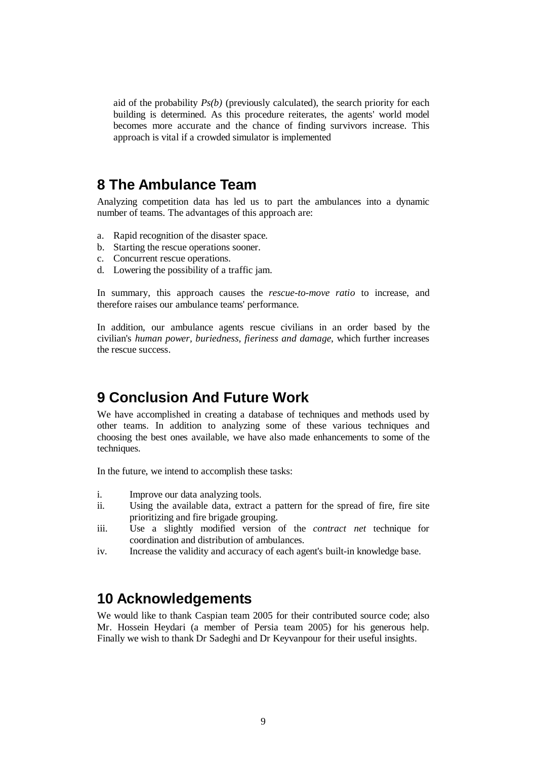aid of the probability *Ps(b)* (previously calculated), the search priority for each building is determined. As this procedure reiterates, the agents' world model becomes more accurate and the chance of finding survivors increase. This approach is vital if a crowded simulator is implemented

#### **8 The Ambulance Team**

Analyzing competition data has led us to part the ambulances into a dynamic number of teams. The advantages of this approach are:

- a. Rapid recognition of the disaster space.
- b. Starting the rescue operations sooner.
- c. Concurrent rescue operations.
- d. Lowering the possibility of a traffic jam.

In summary, this approach causes the *rescue-to-move ratio* to increase, and therefore raises our ambulance teams' performance.

In addition, our ambulance agents rescue civilians in an order based by the civilian's *human power, buriedness, fieriness and damage*, which further increases the rescue success.

# **9 Conclusion And Future Work**

We have accomplished in creating a database of techniques and methods used by other teams. In addition to analyzing some of these various techniques and choosing the best ones available, we have also made enhancements to some of the techniques.

In the future, we intend to accomplish these tasks:

- i. Improve our data analyzing tools.
- ii. Using the available data, extract a pattern for the spread of fire, fire site prioritizing and fire brigade grouping.
- iii. Use a slightly modified version of the *contract net* technique for coordination and distribution of ambulances.
- iv. Increase the validity and accuracy of each agent's built-in knowledge base.

#### **10 Acknowledgements**

We would like to thank Caspian team 2005 for their contributed source code; also Mr. Hossein Heydari (a member of Persia team 2005) for his generous help. Finally we wish to thank Dr Sadeghi and Dr Keyvanpour for their useful insights.